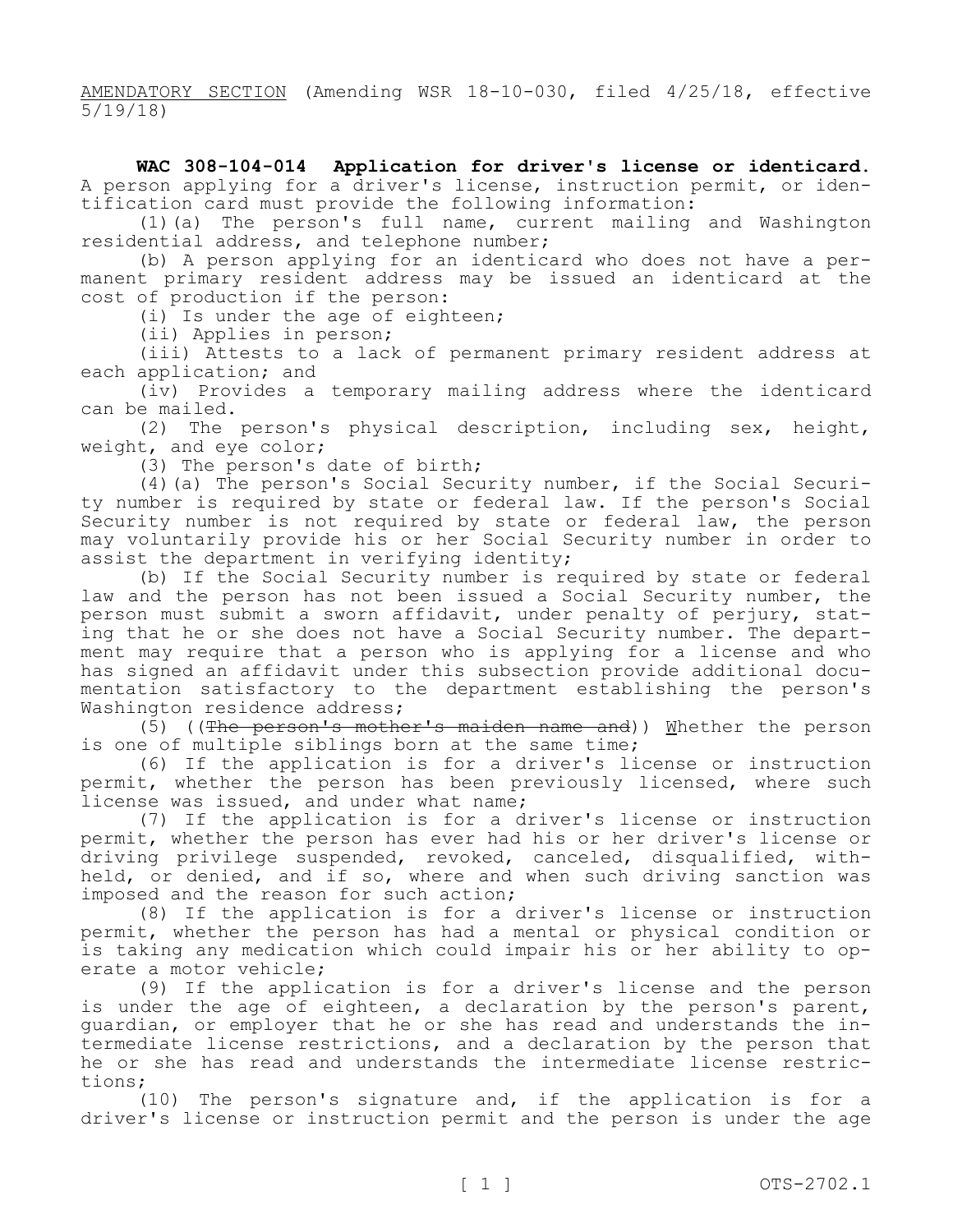AMENDATORY SECTION (Amending WSR 18-10-030, filed 4/25/18, effective 5/19/18)

**WAC 308-104-014 Application for driver's license or identicard.**  A person applying for a driver's license, instruction permit, or identification card must provide the following information:

(1)(a) The person's full name, current mailing and Washington residential address, and telephone number;

(b) A person applying for an identicard who does not have a permanent primary resident address may be issued an identicard at the cost of production if the person:

(i) Is under the age of eighteen;

(ii) Applies in person;

(iii) Attests to a lack of permanent primary resident address at each application; and

(iv) Provides a temporary mailing address where the identicard can be mailed.

(2) The person's physical description, including sex, height, weight, and eye color;

(3) The person's date of birth;

(4)(a) The person's Social Security number, if the Social Security number is required by state or federal law. If the person's Social Security number is not required by state or federal law, the person may voluntarily provide his or her Social Security number in order to assist the department in verifying identity;

(b) If the Social Security number is required by state or federal law and the person has not been issued a Social Security number, the person must submit a sworn affidavit, under penalty of perjury, stating that he or she does not have a Social Security number. The department may require that a person who is applying for a license and who has signed an affidavit under this subsection provide additional documentation satisfactory to the department establishing the person's Washington residence address;

(5) ((The person's mother's maiden name and)) Whether the person is one of multiple siblings born at the same time;

(6) If the application is for a driver's license or instruction permit, whether the person has been previously licensed, where such license was issued, and under what name;

(7) If the application is for a driver's license or instruction permit, whether the person has ever had his or her driver's license or driving privilege suspended, revoked, canceled, disqualified, withheld, or denied, and if so, where and when such driving sanction was imposed and the reason for such action;

(8) If the application is for a driver's license or instruction permit, whether the person has had a mental or physical condition or is taking any medication which could impair his or her ability to operate a motor vehicle;

(9) If the application is for a driver's license and the person is under the age of eighteen, a declaration by the person's parent, guardian, or employer that he or she has read and understands the intermediate license restrictions, and a declaration by the person that he or she has read and understands the intermediate license restrictions;

(10) The person's signature and, if the application is for a driver's license or instruction permit and the person is under the age